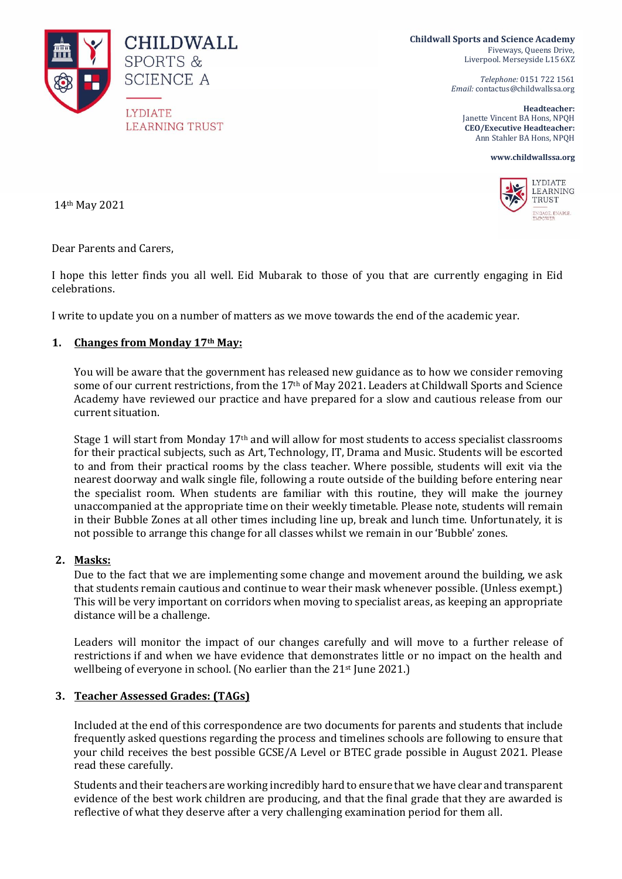

**Childwall Sports and Science Academy** Fiveways, Queens Drive, Liverpool. Merseyside L15 6XZ

> *Telephone:* 0151 722 1561 *Email:* contactus@childwallssa.org

**Headteacher:**  Janette Vincent BA Hons, NPQH **CEO/Executive Headteacher:**  Ann Stahler BA Hons, NPQH

**www.childwallssa.org**



14th May 2021

Dear Parents and Carers,

I hope this letter finds you all well. Eid Mubarak to those of you that are currently engaging in Eid celebrations.

I write to update you on a number of matters as we move towards the end of the academic year.

#### **1. Changes from Monday 17th May:**

You will be aware that the government has released new guidance as to how we consider removing some of our current restrictions, from the 17<sup>th</sup> of May 2021. Leaders at Childwall Sports and Science Academy have reviewed our practice and have prepared for a slow and cautious release from our current situation.

Stage 1 will start from Monday 17th and will allow for most students to access specialist classrooms for their practical subjects, such as Art, Technology, IT, Drama and Music. Students will be escorted to and from their practical rooms by the class teacher. Where possible, students will exit via the nearest doorway and walk single file, following a route outside of the building before entering near the specialist room. When students are familiar with this routine, they will make the journey unaccompanied at the appropriate time on their weekly timetable. Please note, students will remain in their Bubble Zones at all other times including line up, break and lunch time. Unfortunately, it is not possible to arrange this change for all classes whilst we remain in our 'Bubble' zones.

#### **2. Masks:**

Due to the fact that we are implementing some change and movement around the building, we ask that students remain cautious and continue to wear their mask whenever possible. (Unless exempt.) This will be very important on corridors when moving to specialist areas, as keeping an appropriate distance will be a challenge.

Leaders will monitor the impact of our changes carefully and will move to a further release of restrictions if and when we have evidence that demonstrates little or no impact on the health and wellbeing of everyone in school. (No earlier than the 21<sup>st</sup> June 2021.)

### **3. Teacher Assessed Grades: (TAGs)**

Included at the end of this correspondence are two documents for parents and students that include frequently asked questions regarding the process and timelines schools are following to ensure that your child receives the best possible GCSE/A Level or BTEC grade possible in August 2021. Please read these carefully.

Students and their teachers are working incredibly hard to ensure that we have clear and transparent evidence of the best work children are producing, and that the final grade that they are awarded is reflective of what they deserve after a very challenging examination period for them all.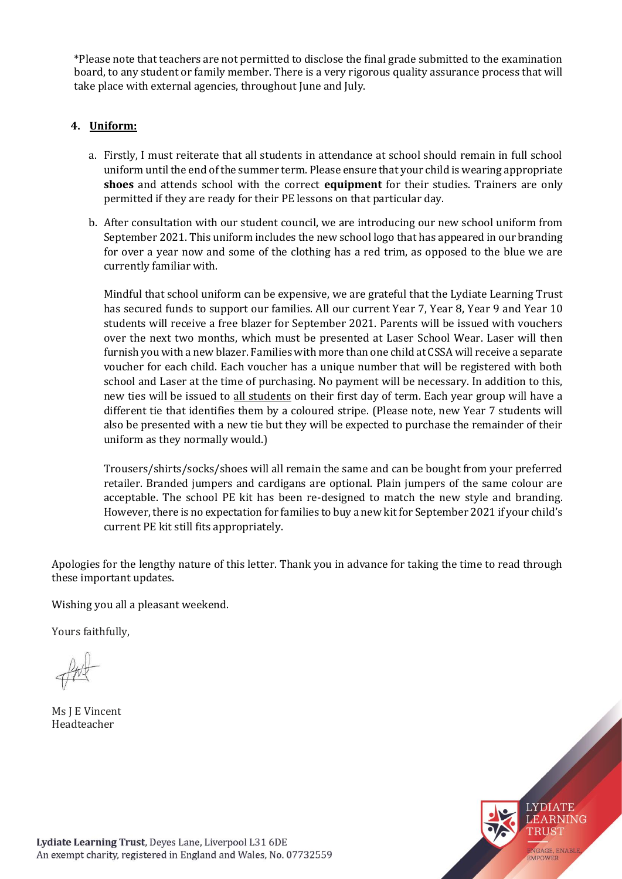\*Please note that teachers are not permitted to disclose the final grade submitted to the examination board, to any student or family member. There is a very rigorous quality assurance process that will take place with external agencies, throughout June and July.

# **4. Uniform:**

- a. Firstly, I must reiterate that all students in attendance at school should remain in full school uniform until the end of the summer term. Please ensure that your child is wearing appropriate **shoes** and attends school with the correct **equipment** for their studies. Trainers are only permitted if they are ready for their PE lessons on that particular day.
- b. After consultation with our student council, we are introducing our new school uniform from September 2021. This uniform includes the new school logo that has appeared in our branding for over a year now and some of the clothing has a red trim, as opposed to the blue we are currently familiar with.

Mindful that school uniform can be expensive, we are grateful that the Lydiate Learning Trust has secured funds to support our families. All our current Year 7, Year 8, Year 9 and Year 10 students will receive a free blazer for September 2021. Parents will be issued with vouchers over the next two months, which must be presented at Laser School Wear. Laser will then furnish you with a new blazer. Families with more than one child at CSSA will receive a separate voucher for each child. Each voucher has a unique number that will be registered with both school and Laser at the time of purchasing. No payment will be necessary. In addition to this, new ties will be issued to all students on their first day of term. Each year group will have a different tie that identifies them by a coloured stripe. (Please note, new Year 7 students will also be presented with a new tie but they will be expected to purchase the remainder of their uniform as they normally would.)

Trousers/shirts/socks/shoes will all remain the same and can be bought from your preferred retailer. Branded jumpers and cardigans are optional. Plain jumpers of the same colour are acceptable. The school PE kit has been re-designed to match the new style and branding. However, there is no expectation for families to buy a new kit for September 2021 if your child's current PE kit still fits appropriately.

Apologies for the lengthy nature of this letter. Thank you in advance for taking the time to read through these important updates.

Wishing you all a pleasant weekend.

Yours faithfully,

Ms J E Vincent Headteacher